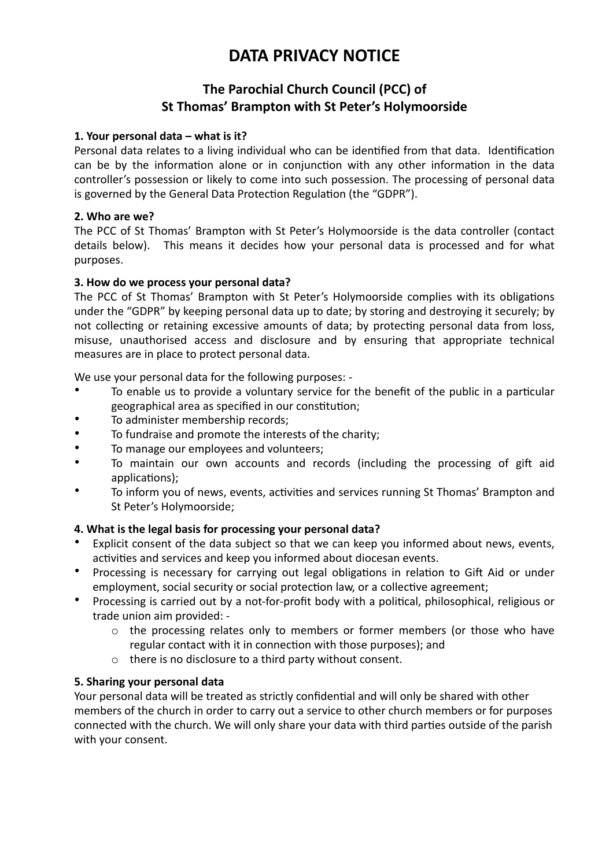# **DATA PRIVACY NOTICE**

# **The Parochial Church Council (PCC) of St Thomas' Brampton with St Peter's Holymoorside**

# **1. Your personal data – what is it?**

Personal data relates to a living individual who can be identified from that data. Identification can be by the information alone or in conjunction with any other information in the data controller's possession or likely to come into such possession. The processing of personal data is governed by the General Data Protection Regulation (the "GDPR").

#### **2.** Who are we?

The PCC of St Thomas' Brampton with St Peter's Holymoorside is the data controller (contact details below). This means it decides how your personal data is processed and for what purposes.

#### **3. How do we process your personal data?**

The PCC of St Thomas' Brampton with St Peter's Holymoorside complies with its obligations under the "GDPR" by keeping personal data up to date; by storing and destroying it securely; by not collecting or retaining excessive amounts of data; by protecting personal data from loss, misuse, unauthorised access and disclosure and by ensuring that appropriate technical measures are in place to protect personal data.

We use your personal data for the following purposes: -

- To enable us to provide a voluntary service for the benefit of the public in a particular geographical area as specified in our constitution;
- To administer membership records;
- To fundraise and promote the interests of the charity;
- To manage our employees and volunteers;
- To maintain our own accounts and records (including the processing of gift aid applications);
- To inform you of news, events, activities and services running St Thomas' Brampton and St Peter's Holymoorside;

#### 4. What is the legal basis for processing your personal data?

- Explicit consent of the data subject so that we can keep you informed about news, events, activities and services and keep you informed about diocesan events.
- Processing is necessary for carrying out legal obligations in relation to Gift Aid or under employment, social security or social protection law, or a collective agreement;
- Processing is carried out by a not-for-profit body with a political, philosophical, religious or trade union aim provided: -
	- $\circ$  the processing relates only to members or former members (or those who have regular contact with it in connection with those purposes); and
	- $\circ$  there is no disclosure to a third party without consent.

#### **5. Sharing your personal data**

Your personal data will be treated as strictly confidential and will only be shared with other members of the church in order to carry out a service to other church members or for purposes connected with the church. We will only share your data with third parties outside of the parish with your consent.